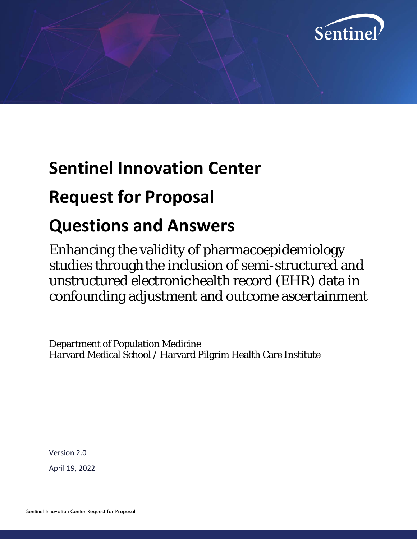

## **Sentinel Innovation Center**

## **Request for Proposal**

# **Questions and Answers**

Enhancing the validity of pharmacoepidemiology studies through the inclusion of semi-structured and unstructured electronic health record (EHR) data in confounding adjustment and outcome ascertainment

Department of Population Medicine Harvard Medical School / Harvard Pilgrim Health Care Institute

Version 2.0

April 19, 2022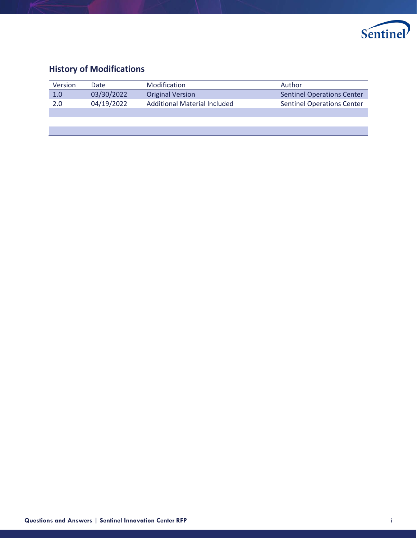

## **History of Modifications**

| Version | Date       | Modification                        | Author                            |
|---------|------------|-------------------------------------|-----------------------------------|
| 1.0     | 03/30/2022 | <b>Original Version</b>             | <b>Sentinel Operations Center</b> |
| 2.0     | 04/19/2022 | <b>Additional Material Included</b> | <b>Sentinel Operations Center</b> |
|         |            |                                     |                                   |
|         |            |                                     |                                   |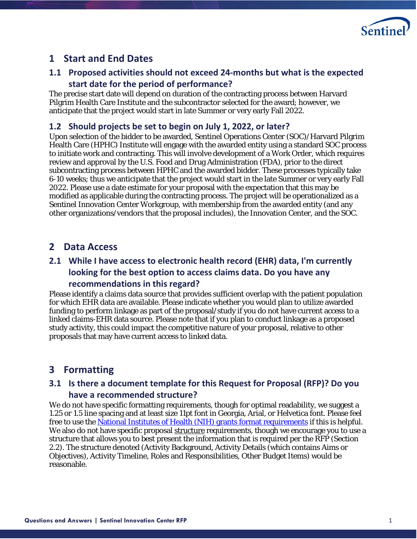

### **1 Start and End Dates**

### **1.1 Proposed activities should not exceed 24-months but what is the expected start date for the period of performance?**

The precise start date will depend on duration of the contracting process between Harvard Pilgrim Health Care Institute and the subcontractor selected for the award; however, we anticipate that the project would start in late Summer or very early Fall 2022.

#### **1.2 Should projects be set to begin on July 1, 2022, or later?**

Upon selection of the bidder to be awarded, Sentinel Operations Center (SOC)/Harvard Pilgrim Health Care (HPHC) Institute will engage with the awarded entity using a standard SOC process to initiate work and contracting. This will involve development of a Work Order, which requires review and approval by the U.S. Food and Drug Administration (FDA), prior to the direct subcontracting process between HPHC and the awarded bidder. These processes typically take 6-10 weeks; thus we anticipate that the project would start in the late Summer or very early Fall 2022. Please use a date estimate for your proposal with the expectation that this may be modified as applicable during the contracting process. The project will be operationalized as a Sentinel Innovation Center Workgroup, with membership from the awarded entity (and any other organizations/vendors that the proposal includes), the Innovation Center, and the SOC.

### **2 Data Access**

### **2.1 While I have access to electronic health record (EHR) data, I'm currently looking for the best option to access claims data. Do you have any recommendations in this regard?**

Please identify a claims data source that provides sufficient overlap with the patient population for which EHR data are available. Please indicate whether you would plan to utilize awarded funding to perform linkage as part of the proposal/study if you do not have current access to a linked claims-EHR data source. Please note that if you plan to conduct linkage as a proposed study activity, this could impact the competitive nature of your proposal, relative to other proposals that may have current access to linked data.

## **3 Formatting**

### **3.1 Is there a document template for this Request for Proposal (RFP)? Do you have a recommended structure?**

We do not have specific formatting requirements, though for optimal readability, we suggest a 1.25 or 1.5 line spacing and at least size 11pt font in Georgia, Arial, or Helvetica font. Please feel free to use the [National Institutes of Health \(NIH\) grants](https://grants.nih.gov/grants/oer.htm) format requirements if this is helpful. We also do not have specific proposal structure requirements, though we encourage you to use a structure that allows you to best present the information that is required per the RFP (Section 2.2). The structure denoted (Activity Background, Activity Details (which contains Aims or Objectives), Activity Timeline, Roles and Responsibilities, Other Budget Items) would be reasonable.